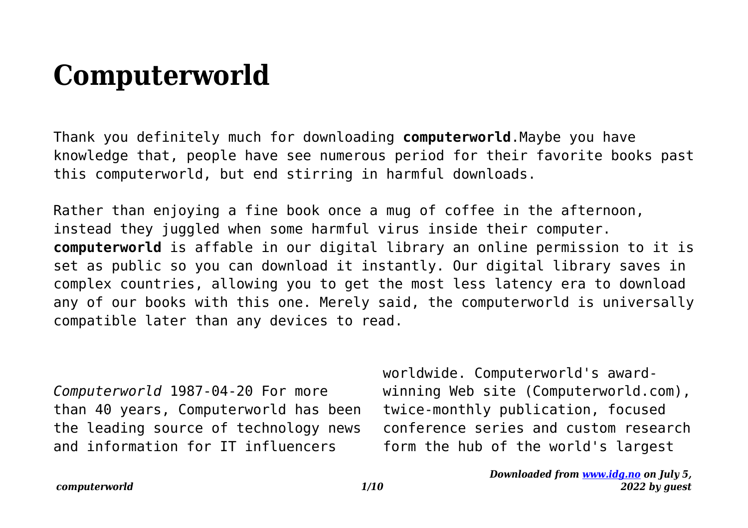## **Computerworld**

Thank you definitely much for downloading **computerworld**.Maybe you have knowledge that, people have see numerous period for their favorite books past this computerworld, but end stirring in harmful downloads.

Rather than enjoying a fine book once a mug of coffee in the afternoon, instead they juggled when some harmful virus inside their computer. **computerworld** is affable in our digital library an online permission to it is set as public so you can download it instantly. Our digital library saves in complex countries, allowing you to get the most less latency era to download any of our books with this one. Merely said, the computerworld is universally compatible later than any devices to read.

*Computerworld* 1987-04-20 For more than 40 years, Computerworld has been the leading source of technology news and information for IT influencers

worldwide. Computerworld's awardwinning Web site (Computerworld.com), twice-monthly publication, focused conference series and custom research form the hub of the world's largest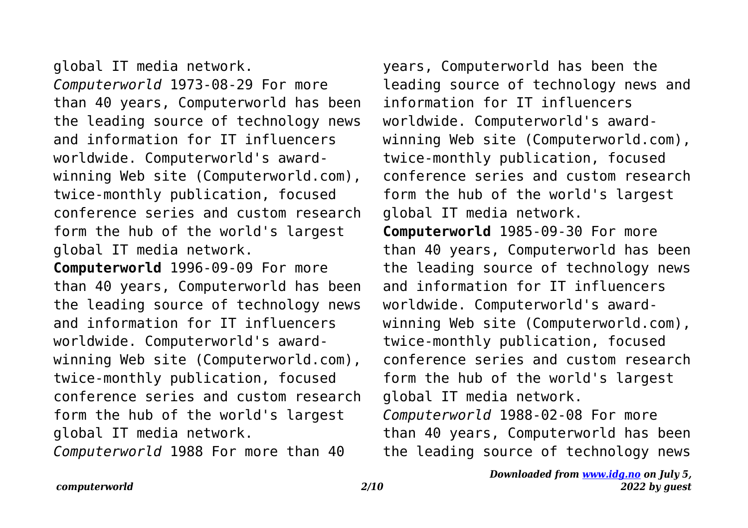global IT media network. *Computerworld* 1973-08-29 For more than 40 years, Computerworld has been the leading source of technology news and information for IT influencers worldwide. Computerworld's awardwinning Web site (Computerworld.com), twice-monthly publication, focused conference series and custom research form the hub of the world's largest global IT media network.

**Computerworld** 1996-09-09 For more than 40 years, Computerworld has been the leading source of technology news and information for IT influencers worldwide. Computerworld's awardwinning Web site (Computerworld.com), twice-monthly publication, focused conference series and custom research form the hub of the world's largest global IT media network.

*Computerworld* 1988 For more than 40

years, Computerworld has been the leading source of technology news and information for IT influencers worldwide. Computerworld's awardwinning Web site (Computerworld.com), twice-monthly publication, focused conference series and custom research form the hub of the world's largest global IT media network. **Computerworld** 1985-09-30 For more than 40 years, Computerworld has been the leading source of technology news and information for IT influencers worldwide. Computerworld's awardwinning Web site (Computerworld.com), twice-monthly publication, focused conference series and custom research form the hub of the world's largest global IT media network. *Computerworld* 1988-02-08 For more than 40 years, Computerworld has been the leading source of technology news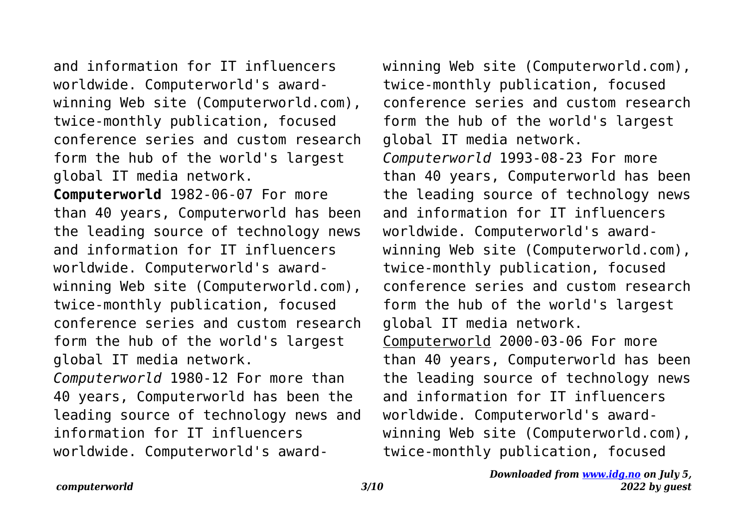and information for IT influencers worldwide. Computerworld's awardwinning Web site (Computerworld.com), twice-monthly publication, focused conference series and custom research form the hub of the world's largest global IT media network.

**Computerworld** 1982-06-07 For more than 40 years, Computerworld has been the leading source of technology news and information for IT influencers worldwide. Computerworld's awardwinning Web site (Computerworld.com), twice-monthly publication, focused conference series and custom research form the hub of the world's largest global IT media network. *Computerworld* 1980-12 For more than

40 years, Computerworld has been the leading source of technology news and information for IT influencers worldwide. Computerworld's awardwinning Web site (Computerworld.com), twice-monthly publication, focused conference series and custom research form the hub of the world's largest global IT media network. *Computerworld* 1993-08-23 For more than 40 years, Computerworld has been the leading source of technology news and information for IT influencers worldwide. Computerworld's awardwinning Web site (Computerworld.com), twice-monthly publication, focused conference series and custom research form the hub of the world's largest global IT media network. Computerworld 2000-03-06 For more than 40 years, Computerworld has been the leading source of technology news and information for IT influencers worldwide. Computerworld's awardwinning Web site (Computerworld.com), twice-monthly publication, focused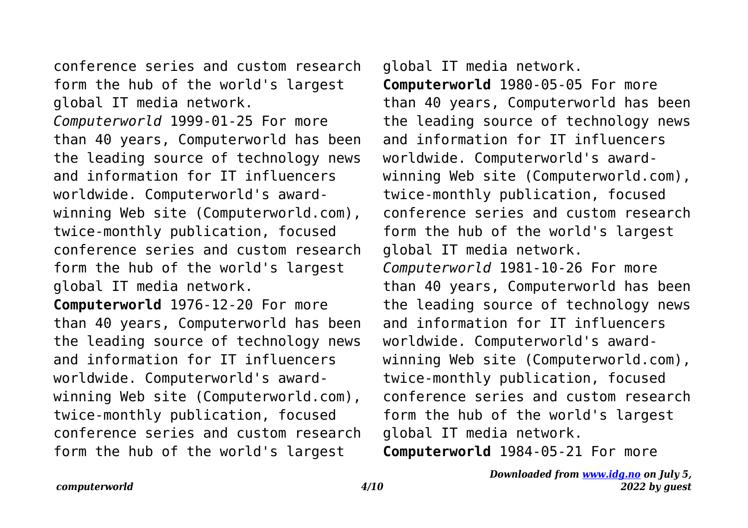conference series and custom research form the hub of the world's largest global IT media network.

*Computerworld* 1999-01-25 For more than 40 years, Computerworld has been the leading source of technology news and information for IT influencers worldwide. Computerworld's awardwinning Web site (Computerworld.com), twice-monthly publication, focused conference series and custom research form the hub of the world's largest global IT media network.

**Computerworld** 1976-12-20 For more than 40 years, Computerworld has been the leading source of technology news and information for IT influencers worldwide. Computerworld's awardwinning Web site (Computerworld.com), twice-monthly publication, focused conference series and custom research form the hub of the world's largest

global IT media network. **Computerworld** 1980-05-05 For more than 40 years, Computerworld has been the leading source of technology news and information for IT influencers worldwide. Computerworld's awardwinning Web site (Computerworld.com), twice-monthly publication, focused conference series and custom research form the hub of the world's largest global IT media network. *Computerworld* 1981-10-26 For more than 40 years, Computerworld has been the leading source of technology news and information for IT influencers worldwide. Computerworld's awardwinning Web site (Computerworld.com), twice-monthly publication, focused conference series and custom research form the hub of the world's largest global IT media network.

**Computerworld** 1984-05-21 For more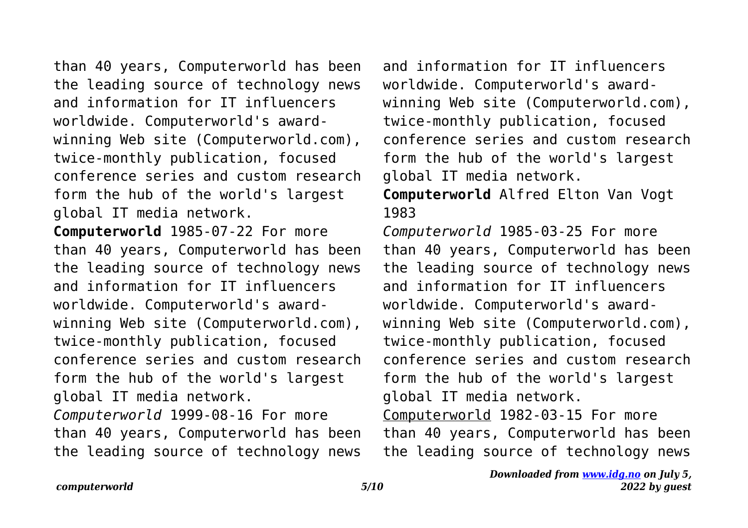than 40 years, Computerworld has been the leading source of technology news and information for IT influencers worldwide. Computerworld's awardwinning Web site (Computerworld.com), twice-monthly publication, focused conference series and custom research form the hub of the world's largest global IT media network. **Computerworld** 1985-07-22 For more

than 40 years, Computerworld has been the leading source of technology news and information for IT influencers worldwide. Computerworld's awardwinning Web site (Computerworld.com), twice-monthly publication, focused conference series and custom research form the hub of the world's largest global IT media network.

*Computerworld* 1999-08-16 For more than 40 years, Computerworld has been the leading source of technology news

and information for IT influencers worldwide. Computerworld's awardwinning Web site (Computerworld.com), twice-monthly publication, focused conference series and custom research form the hub of the world's largest global IT media network.

**Computerworld** Alfred Elton Van Vogt 1983

*Computerworld* 1985-03-25 For more than 40 years, Computerworld has been the leading source of technology news and information for IT influencers worldwide. Computerworld's awardwinning Web site (Computerworld.com), twice-monthly publication, focused conference series and custom research form the hub of the world's largest global IT media network.

Computerworld 1982-03-15 For more than 40 years, Computerworld has been the leading source of technology news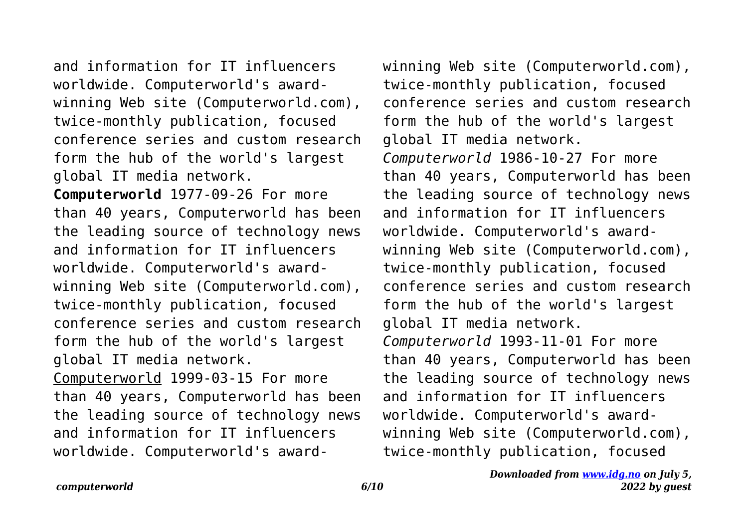and information for IT influencers worldwide. Computerworld's awardwinning Web site (Computerworld.com), twice-monthly publication, focused conference series and custom research form the hub of the world's largest global IT media network.

**Computerworld** 1977-09-26 For more than 40 years, Computerworld has been the leading source of technology news and information for IT influencers worldwide. Computerworld's awardwinning Web site (Computerworld.com), twice-monthly publication, focused conference series and custom research form the hub of the world's largest global IT media network. Computerworld 1999-03-15 For more than 40 years, Computerworld has been the leading source of technology news and information for IT influencers worldwide. Computerworld's awardwinning Web site (Computerworld.com), twice-monthly publication, focused conference series and custom research form the hub of the world's largest global IT media network. *Computerworld* 1986-10-27 For more than 40 years, Computerworld has been the leading source of technology news and information for IT influencers worldwide. Computerworld's awardwinning Web site (Computerworld.com), twice-monthly publication, focused conference series and custom research form the hub of the world's largest global IT media network. *Computerworld* 1993-11-01 For more than 40 years, Computerworld has been the leading source of technology news and information for IT influencers worldwide. Computerworld's awardwinning Web site (Computerworld.com), twice-monthly publication, focused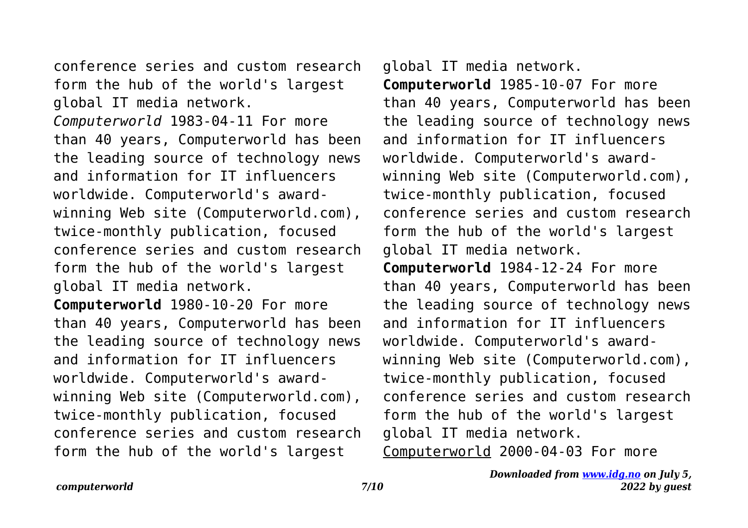conference series and custom research form the hub of the world's largest global IT media network.

*Computerworld* 1983-04-11 For more than 40 years, Computerworld has been the leading source of technology news and information for IT influencers worldwide. Computerworld's awardwinning Web site (Computerworld.com), twice-monthly publication, focused conference series and custom research form the hub of the world's largest global IT media network.

**Computerworld** 1980-10-20 For more than 40 years, Computerworld has been the leading source of technology news and information for IT influencers worldwide. Computerworld's awardwinning Web site (Computerworld.com), twice-monthly publication, focused conference series and custom research form the hub of the world's largest

global IT media network. **Computerworld** 1985-10-07 For more than 40 years, Computerworld has been the leading source of technology news and information for IT influencers worldwide. Computerworld's awardwinning Web site (Computerworld.com), twice-monthly publication, focused conference series and custom research form the hub of the world's largest global IT media network. **Computerworld** 1984-12-24 For more than 40 years, Computerworld has been the leading source of technology news and information for IT influencers worldwide. Computerworld's awardwinning Web site (Computerworld.com),

twice-monthly publication, focused conference series and custom research form the hub of the world's largest global IT media network.

Computerworld 2000-04-03 For more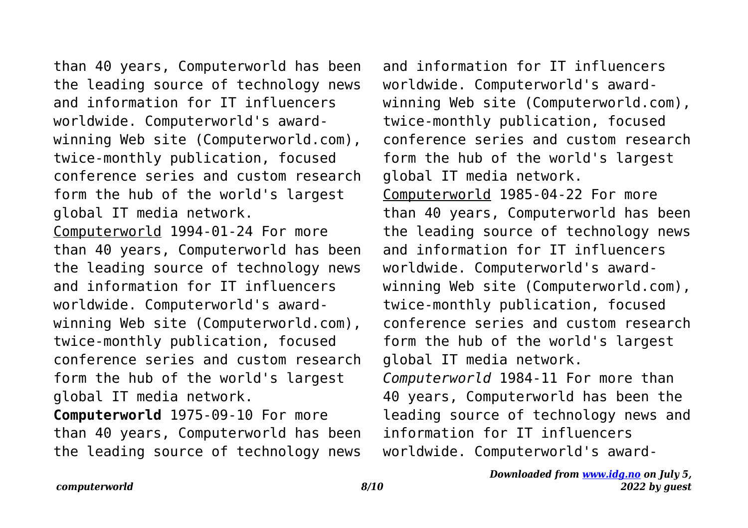than 40 years, Computerworld has been the leading source of technology news and information for IT influencers worldwide. Computerworld's awardwinning Web site (Computerworld.com), twice-monthly publication, focused conference series and custom research form the hub of the world's largest global IT media network. Computerworld 1994-01-24 For more than 40 years, Computerworld has been the leading source of technology news and information for IT influencers worldwide. Computerworld's awardwinning Web site (Computerworld.com), twice-monthly publication, focused conference series and custom research form the hub of the world's largest global IT media network.

**Computerworld** 1975-09-10 For more than 40 years, Computerworld has been the leading source of technology news

and information for IT influencers worldwide. Computerworld's awardwinning Web site (Computerworld.com), twice-monthly publication, focused conference series and custom research form the hub of the world's largest global IT media network. Computerworld 1985-04-22 For more than 40 years, Computerworld has been the leading source of technology news and information for IT influencers worldwide. Computerworld's awardwinning Web site (Computerworld.com), twice-monthly publication, focused conference series and custom research form the hub of the world's largest global IT media network. *Computerworld* 1984-11 For more than 40 years, Computerworld has been the leading source of technology news and information for IT influencers worldwide. Computerworld's award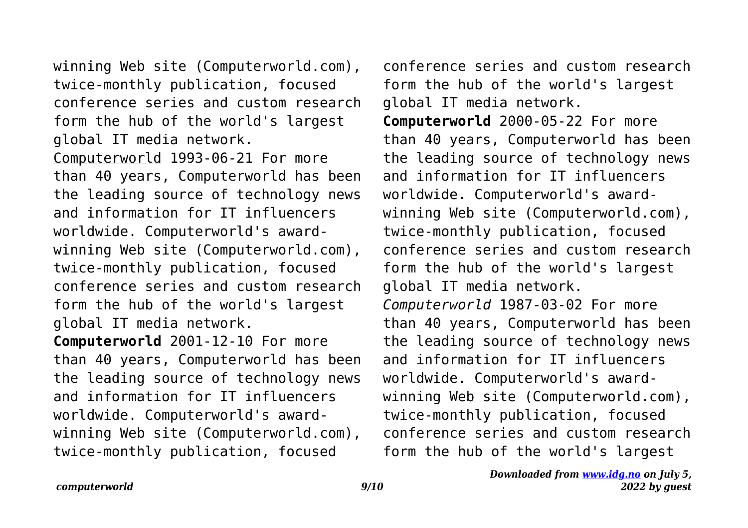winning Web site (Computerworld.com), twice-monthly publication, focused conference series and custom research form the hub of the world's largest global IT media network.

Computerworld 1993-06-21 For more than 40 years, Computerworld has been the leading source of technology news and information for IT influencers worldwide. Computerworld's awardwinning Web site (Computerworld.com), twice-monthly publication, focused conference series and custom research form the hub of the world's largest global IT media network.

**Computerworld** 2001-12-10 For more than 40 years, Computerworld has been the leading source of technology news and information for IT influencers worldwide. Computerworld's awardwinning Web site (Computerworld.com), twice-monthly publication, focused

conference series and custom research form the hub of the world's largest global IT media network.

**Computerworld** 2000-05-22 For more than 40 years, Computerworld has been the leading source of technology news and information for IT influencers worldwide. Computerworld's awardwinning Web site (Computerworld.com), twice-monthly publication, focused conference series and custom research form the hub of the world's largest global IT media network. *Computerworld* 1987-03-02 For more than 40 years, Computerworld has been the leading source of technology news and information for IT influencers worldwide. Computerworld's awardwinning Web site (Computerworld.com), twice-monthly publication, focused conference series and custom research form the hub of the world's largest